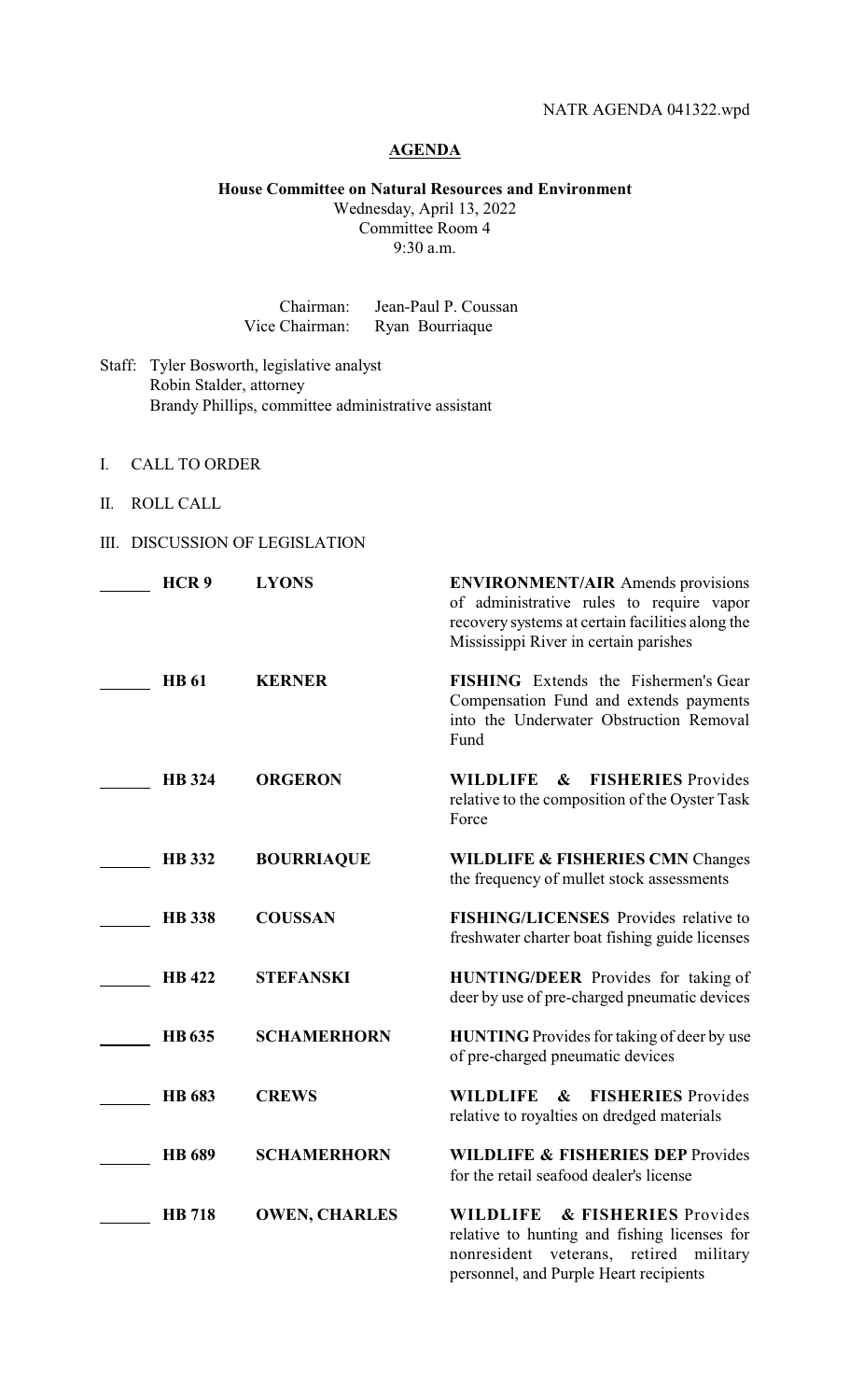## **AGENDA**

**House Committee on Natural Resources and Environment**

Wednesday, April 13, 2022 Committee Room 4 9:30 a.m.

| Chairman:      | Jean-Paul P. Coussan |
|----------------|----------------------|
| Vice Chairman: | Ryan Bourriaque      |

- Staff: Tyler Bosworth, legislative analyst Robin Stalder, attorney Brandy Phillips, committee administrative assistant
- I. CALL TO ORDER
- II. ROLL CALL
- III. DISCUSSION OF LEGISLATION

| HCR <sub>9</sub> | <b>LYONS</b>         | <b>ENVIRONMENT/AIR</b> Amends provisions<br>of administrative rules to require vapor<br>recovery systems at certain facilities along the<br>Mississippi River in certain parishes |
|------------------|----------------------|-----------------------------------------------------------------------------------------------------------------------------------------------------------------------------------|
| <b>HB</b> 61     | <b>KERNER</b>        | <b>FISHING</b> Extends the Fishermen's Gear<br>Compensation Fund and extends payments<br>into the Underwater Obstruction Removal<br>Fund                                          |
| <b>HB</b> 324    | <b>ORGERON</b>       | $\boldsymbol{\&}$<br><b>FISHERIES</b> Provides<br><b>WILDLIFE</b><br>relative to the composition of the Oyster Task<br>Force                                                      |
| <b>HB</b> 332    | <b>BOURRIAQUE</b>    | <b>WILDLIFE &amp; FISHERIES CMN Changes</b><br>the frequency of mullet stock assessments                                                                                          |
| <b>HB</b> 338    | <b>COUSSAN</b>       | <b>FISHING/LICENSES</b> Provides relative to<br>freshwater charter boat fishing guide licenses                                                                                    |
| <b>HB</b> 422    | <b>STEFANSKI</b>     | <b>HUNTING/DEER</b> Provides for taking of<br>deer by use of pre-charged pneumatic devices                                                                                        |
| <b>HB</b> 635    | <b>SCHAMERHORN</b>   | <b>HUNTING</b> Provides for taking of deer by use<br>of pre-charged pneumatic devices                                                                                             |
| <b>HB</b> 683    | <b>CREWS</b>         | <b>WILDLIFE</b><br><b>FISHERIES</b> Provides<br>$\boldsymbol{\&}$<br>relative to royalties on dredged materials                                                                   |
| <b>HB</b> 689    | <b>SCHAMERHORN</b>   | <b>WILDLIFE &amp; FISHERIES DEP Provides</b><br>for the retail seafood dealer's license                                                                                           |
| <b>HB</b> 718    | <b>OWEN, CHARLES</b> | <b>WILDLIFE</b><br>& FISHERIES Provides<br>relative to hunting and fishing licenses for<br>nonresident<br>veterans,<br>retired<br>military                                        |

personnel, and Purple Heart recipients